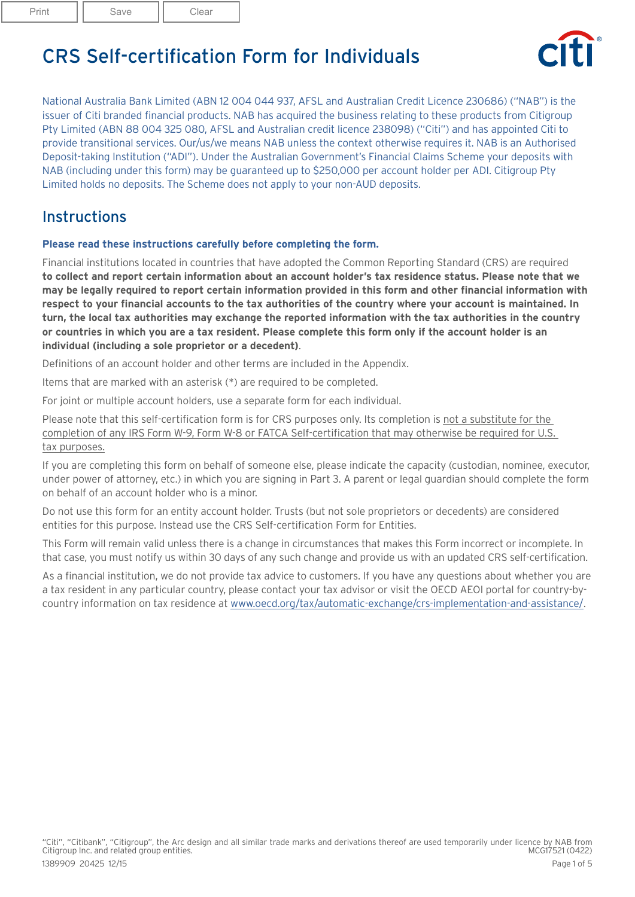Print | Save | Clear

CRS Self-certification Form for Individuals



National Australia Bank Limited (ABN 12 004 044 937, AFSL and Australian Credit Licence 230686) ("NAB") is the issuer of Citi branded financial products. NAB has acquired the business relating to these products from Citigroup Pty Limited (ABN 88 004 325 080, AFSL and Australian credit licence 238098) ("Citi") and has appointed Citi to provide transitional services. Our/us/we means NAB unless the context otherwise requires it. NAB is an Authorised Deposit-taking Institution ("ADI"). Under the Australian Government's Financial Claims Scheme your deposits with NAB (including under this form) may be guaranteed up to \$250,000 per account holder per ADI. Citigroup Pty Limited holds no deposits. The Scheme does not apply to your non-AUD deposits.

## **Instructions**

#### **Please read these instructions carefully before completing the form.**

Financial institutions located in countries that have adopted the Common Reporting Standard (CRS) are required **to collect and report certain information about an account holder's tax residence status. Please note that we may be legally required to report certain information provided in this form and other financial information with respect to your financial accounts to the tax authorities of the country where your account is maintained. In turn, the local tax authorities may exchange the reported information with the tax authorities in the country or countries in which you are a tax resident. Please complete this form only if the account holder is an individual (including a sole proprietor or a decedent)**.

Definitions of an account holder and other terms are included in the Appendix.

Items that are marked with an asterisk (\*) are required to be completed.

For joint or multiple account holders, use a separate form for each individual.

Please note that this self-certification form is for CRS purposes only. Its completion is not a substitute for the completion of any IRS Form W-9, Form W-8 or FATCA Self-certification that may otherwise be required for U.S. tax purposes.

If you are completing this form on behalf of someone else, please indicate the capacity (custodian, nominee, executor, under power of attorney, etc.) in which you are signing in Part 3. A parent or legal guardian should complete the form on behalf of an account holder who is a minor.

Do not use this form for an entity account holder. Trusts (but not sole proprietors or decedents) are considered entities for this purpose. Instead use the CRS Self-certification Form for Entities.

This Form will remain valid unless there is a change in circumstances that makes this Form incorrect or incomplete. In that case, you must notify us within 30 days of any such change and provide us with an updated CRS self-certification.

As a financial institution, we do not provide tax advice to customers. If you have any questions about whether you are a tax resident in any particular country, please contact your tax advisor or visit the OECD AEOI portal for country-bycountry information on tax residence at [www.oecd.org/tax/automatic-exchange/crs-implementation-and-assistance/.](http://www.oecd.org/tax/automatic-exchange/crs-implementation-and-assistance/)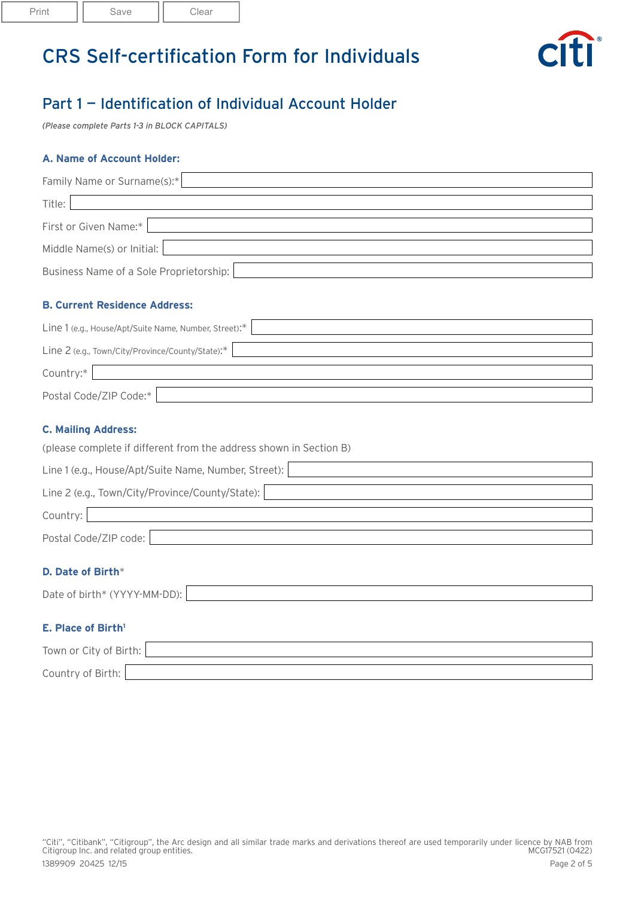

## Part 1 — Identification of Individual Account Holder

*(Please complete Parts 1-3 in BLOCK CAPITALS)*

#### **A. Name of Account Holder:**

| Family Name or Surname(s):*             |  |  |
|-----------------------------------------|--|--|
| Title:                                  |  |  |
| First or Given Name:*                   |  |  |
| Middle Name(s) or Initial:              |  |  |
| Business Name of a Sole Proprietorship: |  |  |

### **B. Current Residence Address:**

| Line 1 (e.g., House/Apt/Suite Name, Number, Street):* |  |  |
|-------------------------------------------------------|--|--|
| Line 2 (e.g., Town/City/Province/County/State):*      |  |  |
| Country:*                                             |  |  |
| Postal Code/ZIP Code:*                                |  |  |

#### **C. Mailing Address:**

|  | (please complete if different from the address shown in Section B) |  |
|--|--------------------------------------------------------------------|--|
|  |                                                                    |  |

| Line 1 (e.g., House/Apt/Suite Name, Number, Street): |  |  |
|------------------------------------------------------|--|--|
| Line 2 (e.g., Town/City/Province/County/State):      |  |  |
| Country:                                             |  |  |
| Postal Code/ZIP code:                                |  |  |

### **D. Date of Birth**\*

| Date of birth* (YYYY-MM-DD): |  |
|------------------------------|--|
|                              |  |

### **E. Place of Birth1**

| Town or City of Birth: |  |
|------------------------|--|
| Country of Birth:      |  |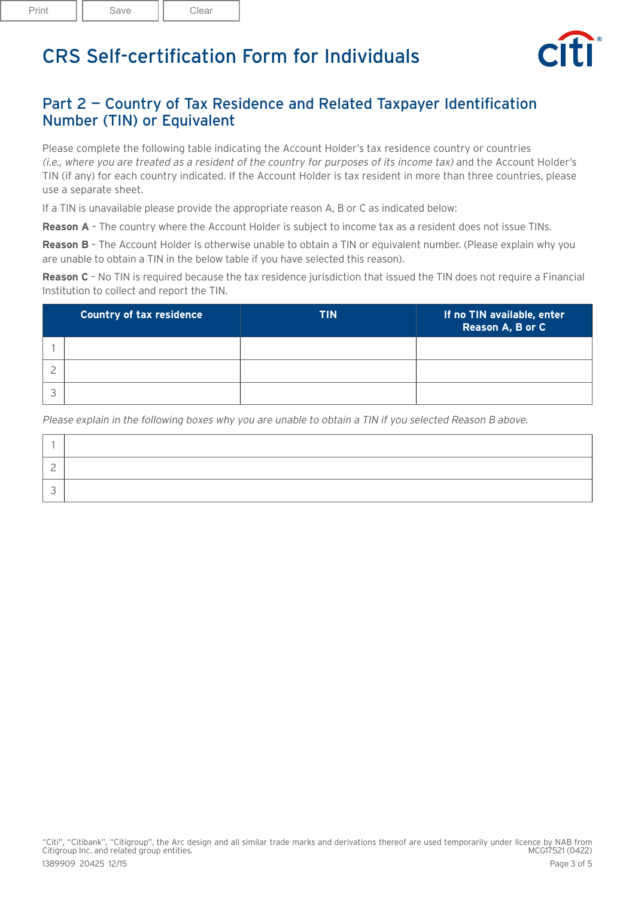

## Part 2 — Country of Tax Residence and Related Taxpayer Identification Number (TIN) or Equivalent

Please complete the following table indicating the Account Holder's tax residence country or countries (i.e., where you are treated as a resident of the country for purposes of its income tax) and the Account Holder's TIN (if any) for each country indicated. If the Account Holder is tax resident in more than three countries, please use a separate sheet.

If a TIN is unavailable please provide the appropriate reason A, B or C as indicated below:

**Reason A** – The country where the Account Holder is subject to income tax as a resident does not issue TINs.

**Reason B** – The Account Holder is otherwise unable to obtain a TIN or equivalent number. (Please explain why you are unable to obtain a TIN in the below table if you have selected this reason).

**Reason C** – No TIN is required because the tax residence jurisdiction that issued the TIN does not require a Financial Institution to collect and report the TIN.

| <b>Country of tax residence</b> | <b>TIN</b> | If no TIN available, enter<br><b>Reason A, B or C</b> |
|---------------------------------|------------|-------------------------------------------------------|
|                                 |            |                                                       |
|                                 |            |                                                       |
|                                 |            |                                                       |

Please explain in the following boxes why you are unable to obtain a TIN if you selected Reason B above.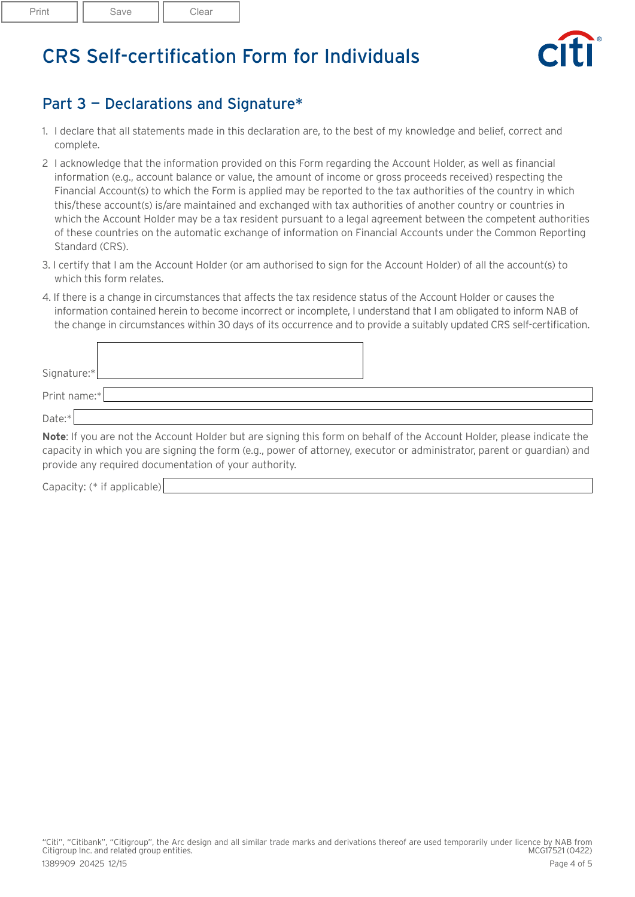

## Part 3 — Declarations and Signature\*

- 1. I declare that all statements made in this declaration are, to the best of my knowledge and belief, correct and complete.
- 2 I acknowledge that the information provided on this Form regarding the Account Holder, as well as financial information (e.g., account balance or value, the amount of income or gross proceeds received) respecting the Financial Account(s) to which the Form is applied may be reported to the tax authorities of the country in which this/these account(s) is/are maintained and exchanged with tax authorities of another country or countries in which the Account Holder may be a tax resident pursuant to a legal agreement between the competent authorities of these countries on the automatic exchange of information on Financial Accounts under the Common Reporting Standard (CRS).
- 3. I certify that I am the Account Holder (or am authorised to sign for the Account Holder) of all the account(s) to which this form relates.
- 4. If there is a change in circumstances that affects the tax residence status of the Account Holder or causes the information contained herein to become incorrect or incomplete, I understand that I am obligated to inform NAB of the change in circumstances within 30 days of its occurrence and to provide a suitably updated CRS self-certification.

| Signature:*  |  |  |  |
|--------------|--|--|--|
| Print name:* |  |  |  |
| Date:        |  |  |  |

**Note**: If you are not the Account Holder but are signing this form on behalf of the Account Holder, please indicate the capacity in which you are signing the form (e.g., power of attorney, executor or administrator, parent or guardian) and provide any required documentation of your authority.

Capacity: (\* if applicable)